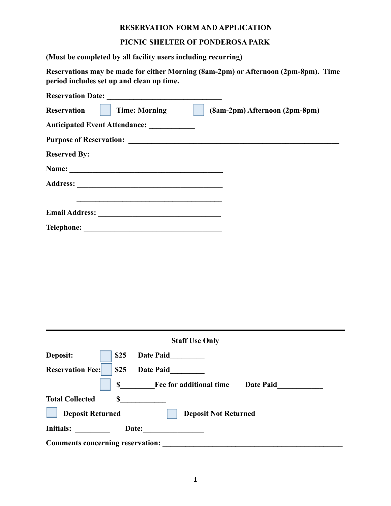#### **RESERVATION FORM AND APPLICATION**

## **PICNIC SHELTER OF PONDEROSA PARK**

**(Must be completed by all facility users including recurring)**

**Reservations may be made for either Morning (8am-2pm) or Afternoon (2pm-8pm). Time period includes set up and clean up time.**

| <b>Reservation Date:</b><br><u> 1989 - Andrea Station, amerikansk politik (</u> |                               |
|---------------------------------------------------------------------------------|-------------------------------|
| <b>Reservation</b><br><b>Time: Morning</b>                                      | (8am-2pm) Afternoon (2pm-8pm) |
| Anticipated Event Attendance: ___________                                       |                               |
|                                                                                 |                               |
| <b>Reserved By:</b>                                                             |                               |
|                                                                                 |                               |
|                                                                                 |                               |
|                                                                                 |                               |
| <b>Email Address:</b><br><u> 1989 - Andrea Stadt Britain, fransk politik (</u>  |                               |
|                                                                                 |                               |

| <b>Staff Use Only</b>                                  |                                                   |  |
|--------------------------------------------------------|---------------------------------------------------|--|
| Deposit:                                               | \$25<br><b>Date Paid</b>                          |  |
| <b>Reservation Fee:</b>                                | \$25<br><b>Date Paid</b>                          |  |
|                                                        | \$<br>Fee for additional time<br><b>Date Paid</b> |  |
| <b>Total Collected</b>                                 | \$                                                |  |
| <b>Deposit Returned</b><br><b>Deposit Not Returned</b> |                                                   |  |
| <b>Initials:</b>                                       | Date:                                             |  |
| <b>Comments concerning reservation:</b>                |                                                   |  |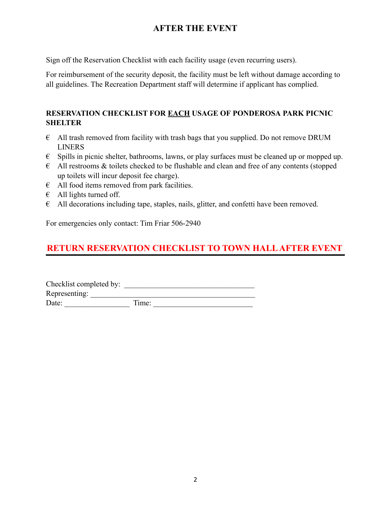# **AFTER THE EVENT**

Sign off the Reservation Checklist with each facility usage (even recurring users).

For reimbursement of the security deposit, the facility must be left without damage according to all guidelines. The Recreation Department staff will determine if applicant has complied.

# **RESERVATION CHECKLIST FOR EACH USAGE OF PONDEROSA PARK PICNIC SHELTER**

- $\epsilon$  All trash removed from facility with trash bags that you supplied. Do not remove DRUM LINERS
- $\epsilon$  Spills in picnic shelter, bathrooms, lawns, or play surfaces must be cleaned up or mopped up.
- $\epsilon$  All restrooms & toilets checked to be flushable and clean and free of any contents (stopped up toilets will incur deposit fee charge).
- $\epsilon$  All food items removed from park facilities.
- $\epsilon$  All lights turned off.
- $\epsilon$  All decorations including tape, staples, nails, glitter, and confetti have been removed.

For emergencies only contact: Tim Friar 506-2940

# **RETURN RESERVATION CHECKLIST TO TOWN HALLAFTER EVENT**

Checklist completed by: \_\_\_\_\_\_\_\_\_\_\_\_\_\_\_\_\_\_\_\_\_\_\_\_\_\_\_\_\_\_\_\_\_\_ Representing: Date: \_\_\_\_\_\_\_\_\_\_\_\_\_\_\_\_\_ Time: \_\_\_\_\_\_\_\_\_\_\_\_\_\_\_\_\_\_\_\_\_\_\_\_\_\_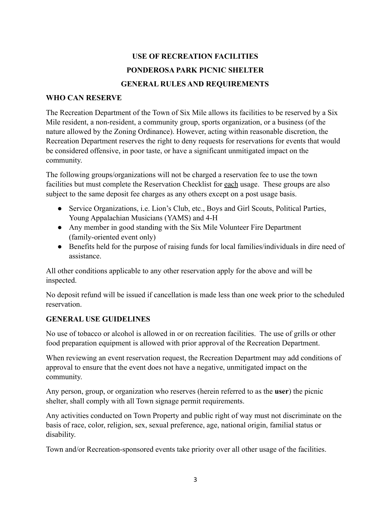# **USE OF RECREATION FACILITIES PONDEROSA PARK PICNIC SHELTER GENERAL RULES AND REQUIREMENTS**

#### **WHO CAN RESERVE**

The Recreation Department of the Town of Six Mile allows its facilities to be reserved by a Six Mile resident, a non-resident, a community group, sports organization, or a business (of the nature allowed by the Zoning Ordinance). However, acting within reasonable discretion, the Recreation Department reserves the right to deny requests for reservations for events that would be considered offensive, in poor taste, or have a significant unmitigated impact on the community.

The following groups/organizations will not be charged a reservation fee to use the town facilities but must complete the Reservation Checklist for each usage. These groups are also subject to the same deposit fee charges as any others except on a post usage basis.

- Service Organizations, i.e. Lion's Club, etc., Boys and Girl Scouts, Political Parties, Young Appalachian Musicians (YAMS) and 4-H
- Any member in good standing with the Six Mile Volunteer Fire Department (family-oriented event only)
- Benefits held for the purpose of raising funds for local families/individuals in dire need of assistance.

All other conditions applicable to any other reservation apply for the above and will be inspected.

No deposit refund will be issued if cancellation is made less than one week prior to the scheduled reservation.

#### **GENERAL USE GUIDELINES**

No use of tobacco or alcohol is allowed in or on recreation facilities. The use of grills or other food preparation equipment is allowed with prior approval of the Recreation Department.

When reviewing an event reservation request, the Recreation Department may add conditions of approval to ensure that the event does not have a negative, unmitigated impact on the community.

Any person, group, or organization who reserves (herein referred to as the **user**) the picnic shelter, shall comply with all Town signage permit requirements.

Any activities conducted on Town Property and public right of way must not discriminate on the basis of race, color, religion, sex, sexual preference, age, national origin, familial status or disability.

Town and/or Recreation-sponsored events take priority over all other usage of the facilities.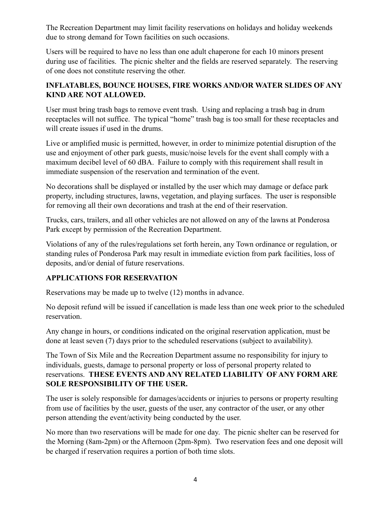The Recreation Department may limit facility reservations on holidays and holiday weekends due to strong demand for Town facilities on such occasions.

Users will be required to have no less than one adult chaperone for each 10 minors present during use of facilities. The picnic shelter and the fields are reserved separately. The reserving of one does not constitute reserving the other.

## **INFLATABLES, BOUNCE HOUSES, FIRE WORKS AND/OR WATER SLIDES OF ANY KIND ARE NOT ALLOWED.**

User must bring trash bags to remove event trash. Using and replacing a trash bag in drum receptacles will not suffice. The typical "home" trash bag is too small for these receptacles and will create issues if used in the drums.

Live or amplified music is permitted, however, in order to minimize potential disruption of the use and enjoyment of other park guests, music/noise levels for the event shall comply with a maximum decibel level of 60 dBA. Failure to comply with this requirement shall result in immediate suspension of the reservation and termination of the event.

No decorations shall be displayed or installed by the user which may damage or deface park property, including structures, lawns, vegetation, and playing surfaces. The user is responsible for removing all their own decorations and trash at the end of their reservation.

Trucks, cars, trailers, and all other vehicles are not allowed on any of the lawns at Ponderosa Park except by permission of the Recreation Department.

Violations of any of the rules/regulations set forth herein, any Town ordinance or regulation, or standing rules of Ponderosa Park may result in immediate eviction from park facilities, loss of deposits, and/or denial of future reservations.

## **APPLICATIONS FOR RESERVATION**

Reservations may be made up to twelve (12) months in advance.

No deposit refund will be issued if cancellation is made less than one week prior to the scheduled reservation.

Any change in hours, or conditions indicated on the original reservation application, must be done at least seven (7) days prior to the scheduled reservations (subject to availability).

The Town of Six Mile and the Recreation Department assume no responsibility for injury to individuals, guests, damage to personal property or loss of personal property related to reservations. **THESE EVENTS AND ANY RELATED LIABILITY OF ANY FORM ARE SOLE RESPONSIBILITY OF THE USER.**

The user is solely responsible for damages/accidents or injuries to persons or property resulting from use of facilities by the user, guests of the user, any contractor of the user, or any other person attending the event/activity being conducted by the user.

No more than two reservations will be made for one day. The picnic shelter can be reserved for the Morning (8am-2pm) or the Afternoon (2pm-8pm). Two reservation fees and one deposit will be charged if reservation requires a portion of both time slots.